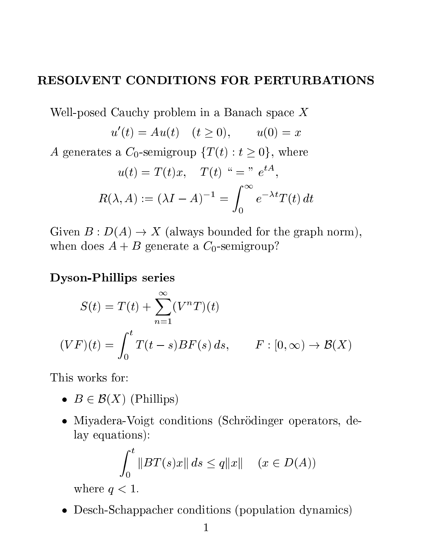## RESOLVENT CONDITIONS FOR PERTURBATIONS

Well-posed Cauchy problem in a Banach space X  $u'(t) = Au(t)$   $(t \ge 0),$   $u(0) = x$ A generates a  $C_0$ -semigroup  $\{T(t): t \geq 0\}$ , where  $u(t) = T(t)x, \quad T(t) \ \text{``= " } e^{tA},$  $R(\lambda, A) := (\lambda I - A)^{-1} =$  $\int_0^\infty$ 0  $e^{-\lambda t}T(t) dt$ 

Given  $B: D(A) \to X$  (always bounded for the graph norm), when does  $A + B$  generate a  $C_0$ -semigroup?

### Dyson-Phillips series

$$
S(t) = T(t) + \sum_{n=1}^{\infty} (V^n T)(t)
$$
  

$$
(VF)(t) = \int_0^t T(t - s) BF(s) ds, \qquad F : [0, \infty) \to B(X)
$$

This works for:

- $B \in \mathcal{B}(X)$  (Phillips)
- Miyadera-Voigt conditions (Schrödinger operators, delay equations):

$$
\int_0^t \|BT(s)x\| ds \le q\|x\| \quad (x \in D(A))
$$

where  $q < 1$ .

Desch-Schappacher conditions (population dynamics)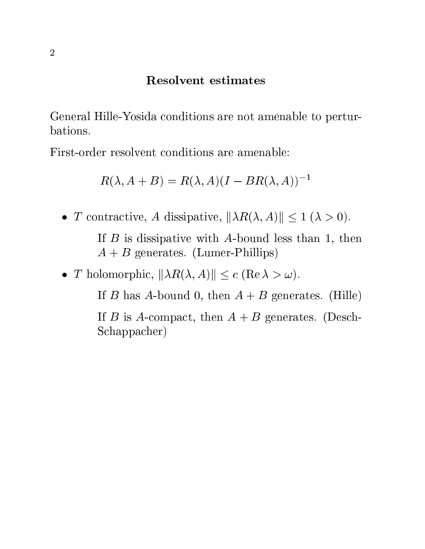#### Resolvent estimates

General Hille-Yosida conditions are not amenable to perturbations.

First-order resolvent conditions are amenable:

$$
R(\lambda, A + B) = R(\lambda, A)(I - BR(\lambda, A))^{-1}
$$

• T contractive, A dissipative,  $\|\lambda R(\lambda, A)\| \leq 1$   $(\lambda > 0)$ .

If  $B$  is dissipative with A-bound less than 1, then  $A + B$  generates. (Lumer-Phillips)

• T holomorphic,  $\|\lambda R(\lambda, A)\| \le c$  (Re  $\lambda > \omega$ ).

If B has A-bound 0, then  $A + B$  generates. (Hille)

If B is A-compact, then  $A + B$  generates. (Desch-Schappacher)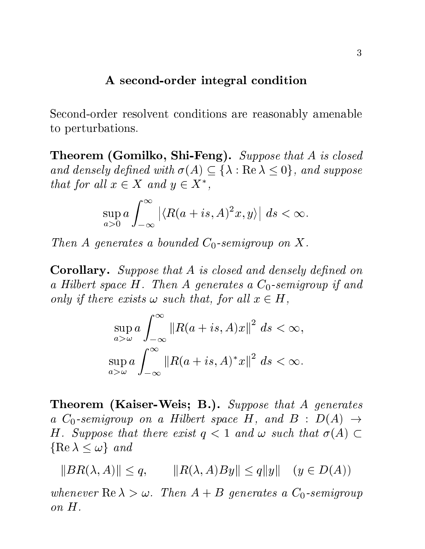#### A second-order integral condition

Second-order resolvent conditions are reasonably amenable to perturbations.

Theorem (Gomilko, Shi-Feng). Suppose that A is closed and densely defined with  $\sigma(A) \subseteq {\{\lambda : \text{Re }\lambda \leq 0\}}$ , and suppose that for all  $x \in X$  and  $y \in X^*$ ,

$$
\sup_{a>0} a \int_{-\infty}^{\infty} \left| \langle R(a+is,A)^2 x, y \rangle \right| ds < \infty.
$$

Then A generates a bounded  $C_0$ -semigroup on X.

**Corollary.** Suppose that A is closed and densely defined on a Hilbert space  $H$ . Then  $A$  generates a  $C_0$ -semigroup if and only if there exists  $\omega$  such that, for all  $x \in H$ ,

$$
\sup_{a>\omega} a \int_{-\infty}^{\infty} \|R(a+is, A)x\|^2 ds < \infty,
$$
  
\n
$$
\sup_{a>\omega} a \int_{-\infty}^{\infty} \|R(a+is, A)^*x\|^2 ds < \infty.
$$

Theorem (Kaiser-Weis; B.). Suppose that A generates a  $C_0$ -semigroup on a Hilbert space H, and B :  $D(A) \rightarrow$ H. Suppose that there exist  $q < 1$  and  $\omega$  such that  $\sigma(A) \subset$  $\{Re \lambda \leq \omega\}$  and

 $||BR(\lambda, A)|| \leq q, \qquad ||R(\lambda, A)By|| \leq q||y|| \quad (y \in D(A))$ 

whenever  $\text{Re }\lambda > \omega$ . Then  $A + B$  generates a  $C_0$ -semigroup on H.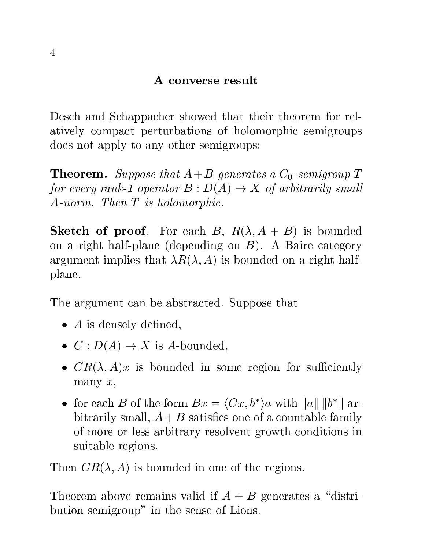# A converse result

Desch and Schappacher showed that their theorem for relatively compact perturbations of holomorphic semigroups does not apply to any other semigroups:

**Theorem.** Suppose that  $A+B$  generates a  $C_0$ -semigroup T for every rank-1 operator  $B: D(A) \to X$  of arbitrarily small A-norm. Then T is holomorphic.

**Sketch of proof.** For each B,  $R(\lambda, A + B)$  is bounded on a right half-plane (depending on  $B$ ). A Baire category argument implies that  $\lambda R(\lambda, A)$  is bounded on a right halfplane.

The argument can be abstracted. Suppose that

- $\bullet$  A is densely defined,
- $C: D(A) \rightarrow X$  is A-bounded,
- $CR(\lambda, A)x$  is bounded in some region for sufficiently many  $x$ ,
- for each B of the form  $Bx = \langle Cx, b^* \rangle a$  with  $||a|| ||b^*||$  arbitrarily small,  $A + B$  satisfies one of a countable family of more or less arbitrary resolvent growth conditions in suitable regions.

Then  $CR(\lambda, A)$  is bounded in one of the regions.

Theorem above remains valid if  $A + B$  generates a "distribution semigroup" in the sense of Lions.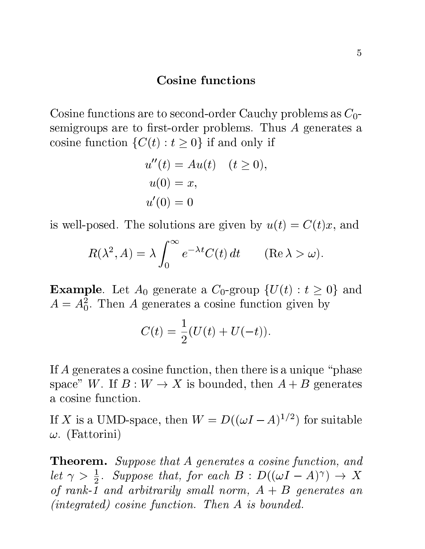#### Cosine functions

Cosine functions are to second-order Cauchy problems as  $C_0$ semigroups are to first-order problems. Thus  $A$  generates a cosine function  $\{C(t): t \geq 0\}$  if and only if

$$
u''(t) = Au(t) \quad (t \ge 0),
$$
  

$$
u(0) = x,
$$
  

$$
u'(0) = 0
$$

is well-posed. The solutions are given by  $u(t) = C(t)x$ , and

$$
R(\lambda^2, A) = \lambda \int_0^\infty e^{-\lambda t} C(t) dt \qquad (\text{Re }\lambda > \omega).
$$

**Example**. Let  $A_0$  generate a  $C_0$ -group  $\{U(t): t \geq 0\}$  and  $A = A_0^2$ . Then A generates a cosine function given by

$$
C(t) = \frac{1}{2}(U(t) + U(-t)).
$$

If A generates a cosine function, then there is a unique "phase" space" W. If  $B: W \to X$  is bounded, then  $A + B$  generates a cosine function.

If X is a UMD-space, then  $W = D((\omega I - A)^{1/2})$  for suitable  $\omega$ . (Fattorini)

**Theorem.** Suppose that A generates a cosine function, and let  $\gamma > \frac{1}{2}$ . Suppose that, for each  $B : D((\omega I - A)^{\gamma}) \to X$ of rank-1 and arbitrarily small norm,  $A + B$  generates an (integrated) cosine function. Then A is bounded.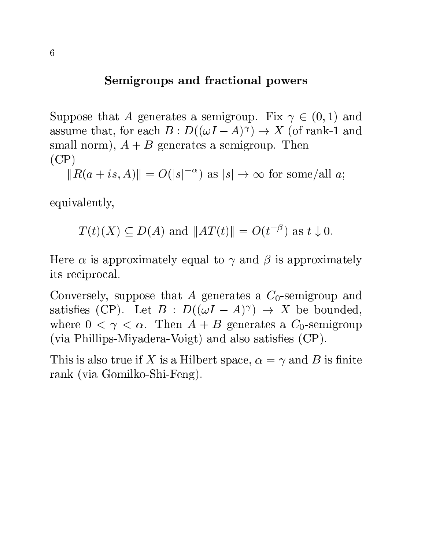# Semigroups and fractional powers

Suppose that A generates a semigroup. Fix  $\gamma \in (0,1)$  and assume that, for each  $B: D((\omega I - A)^{\gamma}) \to X$  (of rank-1 and small norm),  $A + B$  generates a semigroup. Then  $(CP)$ 

 $||R(a + is, A)|| = O(|s|^{-\alpha})$  as  $|s| \to \infty$  for some/all a;

equivalently,

$$
T(t)(X) \subseteq D(A)
$$
 and  $||AT(t)|| = O(t^{-\beta})$  as  $t \downarrow 0$ .

Here  $\alpha$  is approximately equal to  $\gamma$  and  $\beta$  is approximately its reciprocal.

Conversely, suppose that A generates a  $C_0$ -semigroup and satisfies (CP). Let  $B : D((\omega I - A)^{\gamma}) \rightarrow X$  be bounded, where  $0 < \gamma < \alpha$ . Then  $A + B$  generates a  $C_0$ -semigroup  $(via Phillips-Miyadera-Voigt)$  and also satisfies  $(CP)$ .

This is also true if X is a Hilbert space,  $\alpha = \gamma$  and B is finite rank (via Gomilko-Shi-Feng).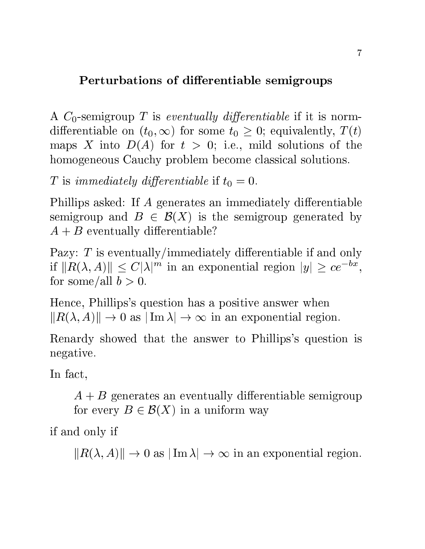# Perturbations of differentiable semigroups

A  $C_0$ -semigroup T is eventually differentiable if it is normdifferentiable on  $(t_0,\infty)$  for some  $t_0 \geq 0$ ; equivalently,  $T(t)$ maps X into  $D(A)$  for  $t > 0$ ; i.e., mild solutions of the homogeneous Cauchy problem become classical solutions.

T is immediately differentiable if  $t_0 = 0$ .

Phillips asked: If A generates an immediately differentiable semigroup and  $B \in \mathcal{B}(X)$  is the semigroup generated by  $A + B$  eventually differentiable?

Pazy:  $T$  is eventually/immediately differentiable if and only if  $||R(\lambda, A)|| \leq C|\lambda|^m$  in an exponential region  $|y| \geq ce^{-bx}$ , for some/all  $b > 0$ .

Hence, Phillips's question has a positive answer when  $||R(\lambda, A)|| \to 0$  as  $|\operatorname{Im} \lambda| \to \infty$  in an exponential region.

Renardy showed that the answer to Phillips's question is negative.

In fact,

 $A + B$  generates an eventually differentiable semigroup for every  $B \in \mathcal{B}(X)$  in a uniform way

if and only if

 $||R(\lambda, A)|| \to 0$  as  $|\operatorname{Im} \lambda| \to \infty$  in an exponential region.